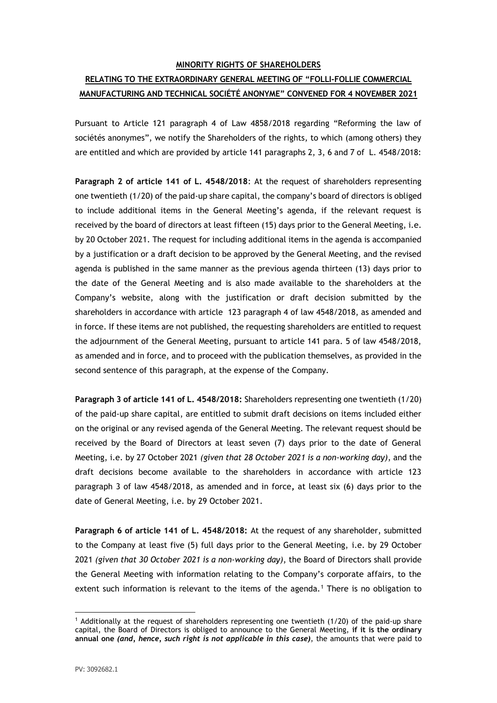## **MINORITY RIGHTS OF SHAREHOLDERS**

## **RELATING TO THE EXTRAORDINARY GENERAL MEETING OF "FOLLI-FOLLIE COMMERCIAL MANUFACTURING AND TECHNICAL SOCIÉTÉ ANONYME" CONVENED FOR 4 NOVEMBER 2021**

Pursuant to Article 121 paragraph 4 of Law 4858/2018 regarding "Reforming the law of sociétés anonymes", we notify the Shareholders of the rights, to which (among others) they are entitled and which are provided by article 141 paragraphs 2, 3, 6 and 7 of L. 4548/2018:

**Paragraph 2 of article 141 of L. 4548/2018**: At the request of shareholders representing one twentieth (1/20) of the paid-up share capital, the company's board of directors is obliged to include additional items in the General Meeting's agenda, if the relevant request is received by the board of directors at least fifteen (15) days prior to the General Meeting, i.e. by 20 October 2021. The request for including additional items in the agenda is accompanied by a justification or a draft decision to be approved by the General Meeting, and the revised agenda is published in the same manner as the previous agenda thirteen (13) days prior to the date of the General Meeting and is also made available to the shareholders at the Company's website, along with the justification or draft decision submitted by the shareholders in accordance with article 123 paragraph 4 of law 4548/2018, as amended and in force. If these items are not published, the requesting shareholders are entitled to request the adjournment of the General Meeting, pursuant to article 141 para. 5 of law 4548/2018, as amended and in force, and to proceed with the publication themselves, as provided in the second sentence of this paragraph, at the expense of the Company.

**Paragraph 3 of article 141 of L. 4548/2018:** Shareholders representing one twentieth (1/20) of the paid-up share capital, are entitled to submit draft decisions on items included either on the original or any revised agenda of the General Meeting. The relevant request should be received by the Board of Directors at least seven (7) days prior to the date of General Meeting, i.e. by 27 October 2021 *(given that 28 October 2021 is a non-working day)*, and the draft decisions become available to the shareholders in accordance with article 123 paragraph 3 of law 4548/2018, as amended and in force**,** at least six (6) days prior to the date of General Meeting, i.e. by 29 October 2021.

**Paragraph 6 of article 141 of L. 4548/2018:** At the request of any shareholder, submitted to the Company at least five (5) full days prior to the General Meeting, i.e. by 29 October 2021 *(given that 30 October 2021 is a non-working day)*, the Board of Directors shall provide the General Meeting with information relating to the Company's corporate affairs, to the extent such information is relevant to the items of the agenda.<sup>1</sup> There is no obligation to

<sup>&</sup>lt;sup>1</sup> Additionally at the request of shareholders representing one twentieth (1/20) of the paid-up share capital, the Board of Directors is obliged to announce to the General Meeting, **if it is the ordinary annual one** *(and, hence, such right is not applicable in this case)*, the amounts that were paid to